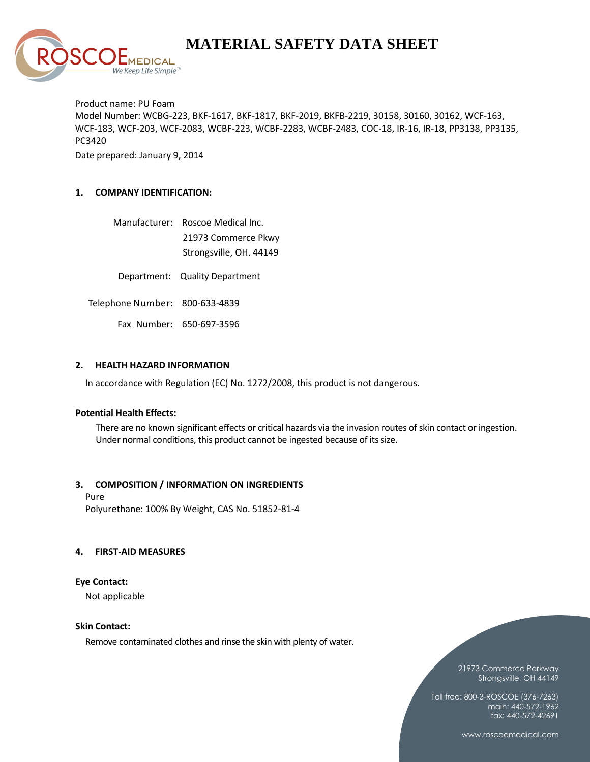

Product name: PU Foam Model Number: WCBG-223, BKF-1617, BKF-1817, BKF-2019, BKFB-2219, 30158, 30160, 30162, WCF-163, WCF-183, WCF-203, WCF-2083, WCBF-223, WCBF-2283, WCBF-2483, COC-18, IR-16, IR-18, PP3138, PP3135, PC3420

Date prepared: January 9, 2014

# **1. COMPANY IDENTIFICATION:**

|  | Manufacturer: Roscoe Medical Inc. |
|--|-----------------------------------|
|  | 21973 Commerce Pkwy               |
|  | Strongsville, OH. 44149           |

Department: Quality Department

Telephone Number: 800-633-4839

Fax Number: 650-697-3596

#### **2. HEALTH HAZARD INFORMATION**

In accordance with Regulation (EC) No. 1272/2008, this product is not dangerous.

# **Potential Health Effects:**

There are no known significant effects or critical hazards via the invasion routes of skin contact or ingestion. Under normal conditions, this product cannot be ingested because of its size.

#### **3. COMPOSITION / INFORMATION ON INGREDIENTS**

Pure Polyurethane: 100% By Weight, CAS No. 51852-81-4

#### **4. FIRST-AID MEASURES**

#### **Eye Contact:**

Not applicable

#### **Skin Contact:**

Remove contaminated clothes and rinse the skin with plenty of water.

#### 21973 Commerce Parkway Strongsville, OH 44149

Toll free: 800-3-ROSCOE (376-7263) main: 440-572-1962 fax: 440-572-42691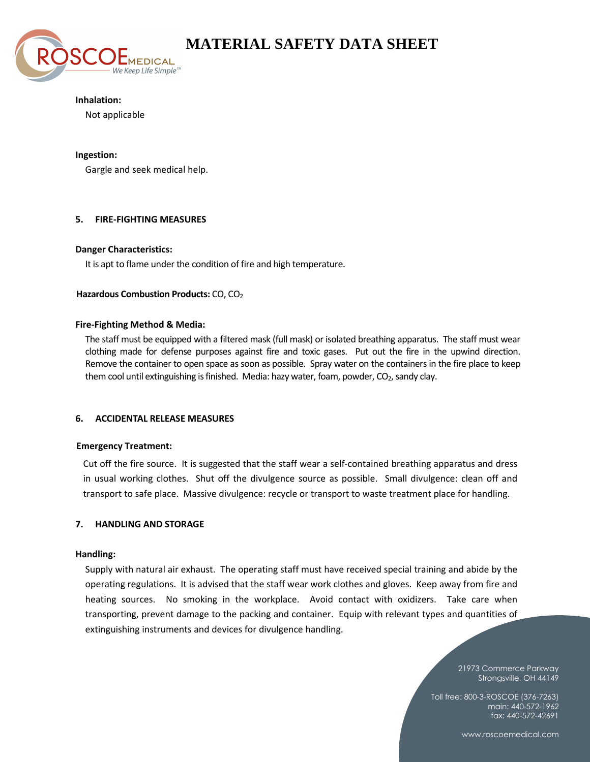

## **Inhalation:**

Not applicable

# **Ingestion:**

Gargle and seek medical help.

# **5. FIRE-FIGHTING MEASURES**

# **Danger Characteristics:**

It is apt to flame under the condition of fire and high temperature.

# **Hazardous Combustion Products: CO, CO<sub>2</sub>**

# **Fire-Fighting Method & Media:**

The staff must be equipped with a filtered mask (full mask) or isolated breathing apparatus. The staff must wear clothing made for defense purposes against fire and toxic gases. Put out the fire in the upwind direction. Remove the container to open space as soon as possible. Spray water on the containers in the fire place to keep them cool until extinguishing is finished. Media: hazy water, foam, powder, CO<sub>2</sub>, sandy clay.

# **6. ACCIDENTAL RELEASE MEASURES**

#### **Emergency Treatment:**

Cut off the fire source. It is suggested that the staff wear a self-contained breathing apparatus and dress in usual working clothes. Shut off the divulgence source as possible. Small divulgence: clean off and transport to safe place. Massive divulgence: recycle or transport to waste treatment place for handling.

# **7. HANDLING AND STORAGE**

# **Handling:**

Supply with natural air exhaust. The operating staff must have received special training and abide by the operating regulations. It is advised that the staff wear work clothes and gloves. Keep away from fire and heating sources. No smoking in the workplace. Avoid contact with oxidizers. Take care when transporting, prevent damage to the packing and container. Equip with relevant types and quantities of extinguishing instruments and devices for divulgence handling.

> 21973 Commerce Parkway Strongsville, OH 44149

Toll free: 800-3-ROSCOE (376-7263) main: 440-572-1962 fax: 440-572-42691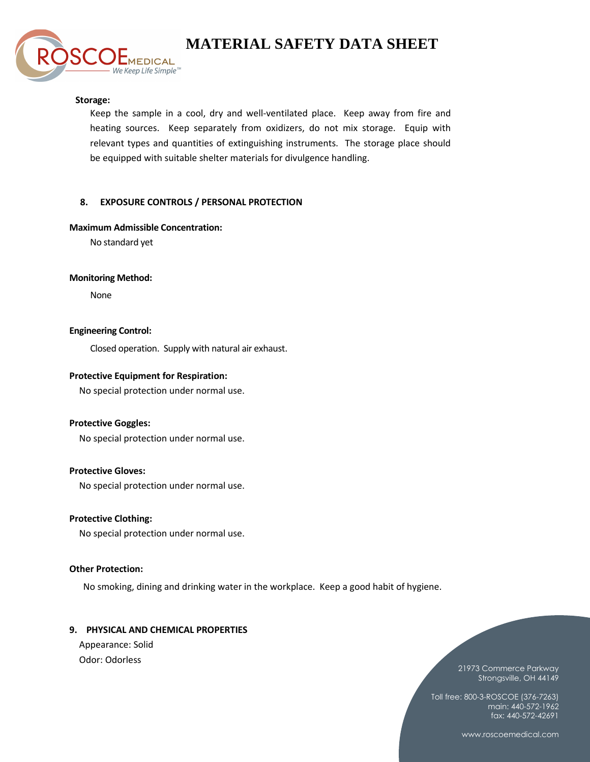#### **Storage:**

Keep the sample in a cool, dry and well-ventilated place. Keep away from fire and heating sources. Keep separately from oxidizers, do not mix storage. Equip with relevant types and quantities of extinguishing instruments. The storage place should be equipped with suitable shelter materials for divulgence handling.

#### **8. EXPOSURE CONTROLS / PERSONAL PROTECTION**

#### **Maximum Admissible Concentration:**

**MEDICAL** We Keep Life Simple<sup>™</sup>

No standard yet

#### **Monitoring Method:**

None

#### **Engineering Control:**

Closed operation. Supply with natural air exhaust.

#### **Protective Equipment for Respiration:**

No special protection under normal use.

#### **Protective Goggles:**

No special protection under normal use.

# **Protective Gloves:**

No special protection under normal use.

# **Protective Clothing:**

No special protection under normal use.

#### **Other Protection:**

No smoking, dining and drinking water in the workplace. Keep a good habit of hygiene.

#### **9. PHYSICAL AND CHEMICAL PROPERTIES**

Appearance: Solid Odor: Odorless

21973 Commerce Parkway Strongsville, OH 44149

Toll free: 800-3-ROSCOE (376-7263) main: 440-572-1962 fax: 440-572-42691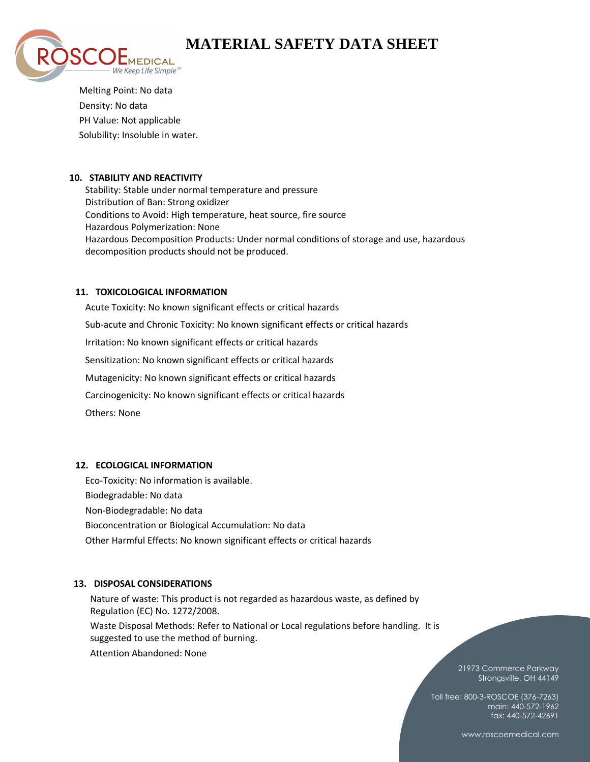

Melting Point: No data Density: No data PH Value: Not applicable Solubility: Insoluble in water.

# **10. STABILITY AND REACTIVITY**

Stability: Stable under normal temperature and pressure Distribution of Ban: Strong oxidizer Conditions to Avoid: High temperature, heat source, fire source Hazardous Polymerization: None Hazardous Decomposition Products: Under normal conditions of storage and use, hazardous decomposition products should not be produced.

# **11. TOXICOLOGICAL INFORMATION**

Acute Toxicity: No known significant effects or critical hazards Sub-acute and Chronic Toxicity: No known significant effects or critical hazards Irritation: No known significant effects or critical hazards Sensitization: No known significant effects or critical hazards Mutagenicity: No known significant effects or critical hazards Carcinogenicity: No known significant effects or critical hazards Others: None

# **12. ECOLOGICAL INFORMATION**

Eco-Toxicity: No information is available. Biodegradable: No data Non-Biodegradable: No data Bioconcentration or Biological Accumulation: No data Other Harmful Effects: No known significant effects or critical hazards

# **13. DISPOSAL CONSIDERATIONS**

Nature of waste: This product is not regarded as hazardous waste, as defined by Regulation (EC) No. 1272/2008.

Waste Disposal Methods: Refer to National or Local regulations before handling. It is suggested to use the method of burning.

Attention Abandoned: None

21973 Commerce Parkway Strongsville, OH 44149

Toll free: 800-3-ROSCOE (376-7263) main: 440-572-1962 fax: 440-572-42691